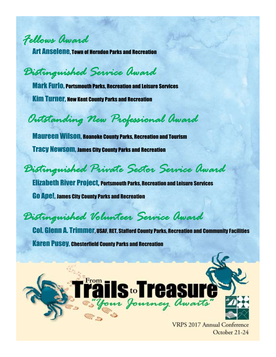*Fellows Award* 

Art Anselene, Town of Herndon Parks and Recreation

*Distinguished Service Award* 

Mark Furlo, Portsmouth Parks, Recreation and Leisure Services Kim Turner, New Kent County Parks and Recreation

*Outstanding New Professional Award* 

Maureen Wilson, Roanoke County Parks, Recreation and Tourism Tracy Newsom, James City County Parks and Recreation

*Distinguished Private Sector Service Award* 

Elizabeth River Project, Portsmouth Parks, Recreation and Leisure Services Go Ape!, James City County Parks and Recreation

## *Distinguished Volunteer Service Award*

Col. Glenn A. Trimmer, USAF, RET, Stafford County Parks, Recreation and Community Facilities Karen Pusey, Chesterfield County Parks and Recreation

**rails GTreasur** 

four Journey Awarts

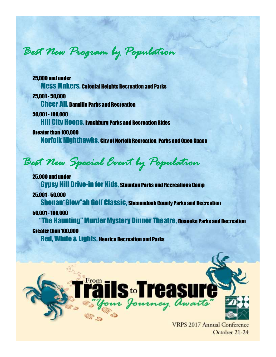*Best New Program by Population* 

25,000 and under Mess Makers, Colonial Heights Recreation and Parks

25,001- 50,000 Cheer All, Danville Parks and Recreation

50,001 -100,000 Hill City Hoops, Lynchburg Parks and Recreation Rides

Greater than 100,000 Norfolk Nighthawks, City of Norfolk Recreation, Parks and Open Space

*Best New Special Event by Population* 

25,000 and under Gypsy Hill Drive-in for Kids, Staunton Parks and Recreations Camp 25,001 - 50,000 Shenan"Glow"ah Golf Classic, Shenandoah County Parks and Recreation 50,001 -100,000 "The Haunting" Murder Mystery Dinner Theatre, Roanoke Parks and Recreation Greater than 100,000 Red, White & Lights, Henrico Recreation and Parks

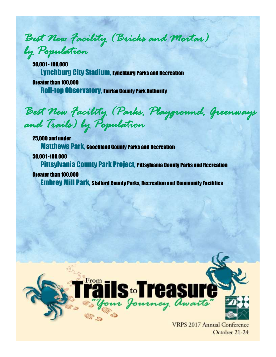*Best New Facility (Bricks and Mortar) by Population* 

50,001 -100,000 Lynchburg City Stadium, Lynchburg Parks and Recreation Greater than 100,000 Roll-top Observatory, Fairfax County Park Authority

*Best New Facility (Parks, Playground, Greenways and Trails) by Population* 

25,000 and under Matthews Park, Goochland County Parks and Recreation 50,001 -100,000 Pittsylvania County Park Project, Pittsylvania County Parks and Recreation Greater than 100,000

Embrey Mill Park, Stafford County Parks, Recreation and Community Facilities

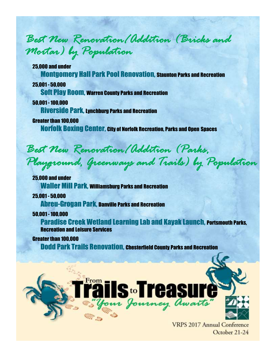*Best New Renovation/Addition (Bricks and Mortar) by Population* 

25,000 and under

Montgomery Hall Park Pool Renovation, Staunton Parks and Recreation

25,001 - 50,000

Soft Play Room, Warren County Parks and Recreation

50,001 -100,000

Riverside Park, Lynchburg Parks and Recreation

Greater than 100,000 Norfolk Boxing Center, City of Norfolk Recreation, Parks and Open Spaces

*Best New Renovation/Addition (Parks, Playground, Greenways and Trails) by Population* 

25,000 and under Waller Mill Park, Williamsburg Parks and Recreation

25,001 - 50,000 Abreu-Grogan Park, Danville Parks and Recreation

50,001 -100,000

Paradise Creek Wetland Learning Lab and Kayak Launch, Portsmouth Parks, Recreation and Leisure Services

Greater than 100,000 Dodd Park Trails Renovation, Chesterfield County Parks and Recreation

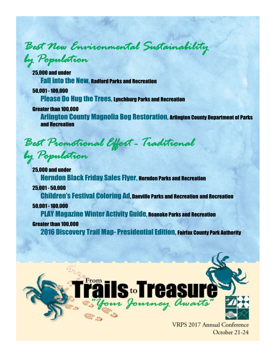*Best New Environmental Sustainability* 

*by Population* 

25,000 and under Fall into the New, Radford Parks and Recreation

50,001 -100,000 Please Do Hug the Trees, Lynchburg Parks and Recreation

Greater than 100,000

Arlington County Magnolia Bog Restoration, Arlington County Department of Parks and Recreation

*Best Promotional Effort - Traditional by Population* 

25,000 and under Herndon Black Friday Sales Flyer, Herndon Parks and Recreation 25,001 - 50,000 Children's Festival Coloring Ad, Danville Parks and Recreation and Recreation 50,001 -100,000 PLAY Magazine Winter Activity Guide, Roanoke Parks and Recreation Greater than 100,000 2016 Discovery Trail Map- Presidential Edition, Fairfax County Park Authority